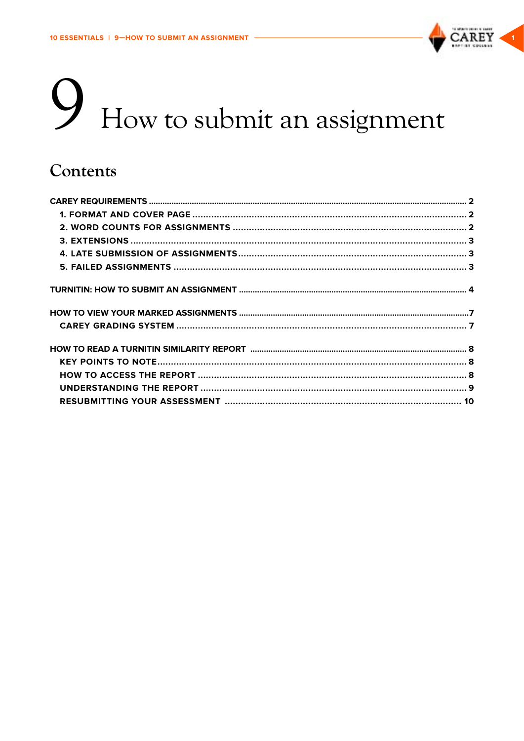

# How to submit an assignment

# Contents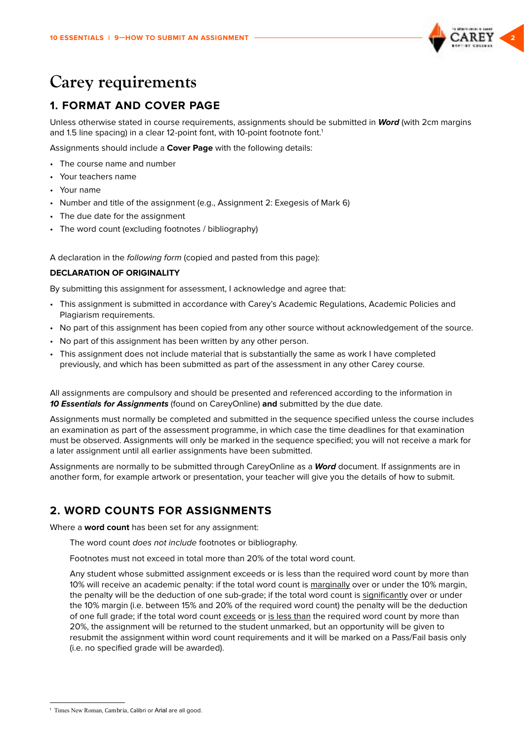

# <span id="page-1-0"></span>**Carey requirements**

# **1. FORMAT AND COVER PAGE**

Unless otherwise stated in course requirements, assignments should be submitted in *Word* (with 2cm margins and 1.5 line spacing) in a clear 12-point font, with 10-point footnote font.<sup>1</sup>

Assignments should include a **Cover Page** with the following details:

- The course name and number
- Your teachers name
- Your name
- Number and title of the assignment (e.g., Assignment 2: Exegesis of Mark 6)
- The due date for the assignment
- The word count (excluding footnotes / bibliography)

A declaration in the following form (copied and pasted from this page):

### **DECLARATION OF ORIGINALITY**

By submitting this assignment for assessment, I acknowledge and agree that:

- This assignment is submitted in accordance with Carey's Academic Regulations, Academic Policies and Plagiarism requirements.
- No part of this assignment has been copied from any other source without acknowledgement of the source.
- No part of this assignment has been written by any other person.
- This assignment does not include material that is substantially the same as work I have completed previously, and which has been submitted as part of the assessment in any other Carey course.

All assignments are compulsory and should be presented and referenced according to the information in *10 Essentials for Assignments* (found on CareyOnline) **and** submitted by the due date.

Assignments must normally be completed and submitted in the sequence specified unless the course includes an examination as part of the assessment programme, in which case the time deadlines for that examination must be observed. Assignments will only be marked in the sequence specified; you will not receive a mark for a later assignment until all earlier assignments have been submitted.

Assignments are normally to be submitted through CareyOnline as a *Word* document. If assignments are in another form, for example artwork or presentation, your teacher will give you the details of how to submit.

# **2. WORD COUNTS FOR ASSIGNMENTS**

Where a **word count** has been set for any assignment:

The word count does not include footnotes or bibliography.

Footnotes must not exceed in total more than 20% of the total word count.

Any student whose submitted assignment exceeds or is less than the required word count by more than 10% will receive an academic penalty: if the total word count is marginally over or under the 10% margin, the penalty will be the deduction of one sub-grade; if the total word count is significantly over or under the 10% margin (i.e. between 15% and 20% of the required word count) the penalty will be the deduction of one full grade; if the total word count exceeds or is less than the required word count by more than 20%, the assignment will be returned to the student unmarked, but an opportunity will be given to resubmit the assignment within word count requirements and it will be marked on a Pass/Fail basis only (i.e. no specified grade will be awarded).

<sup>1</sup> Times New Roman, Cambria, Calibri or Arial are all good.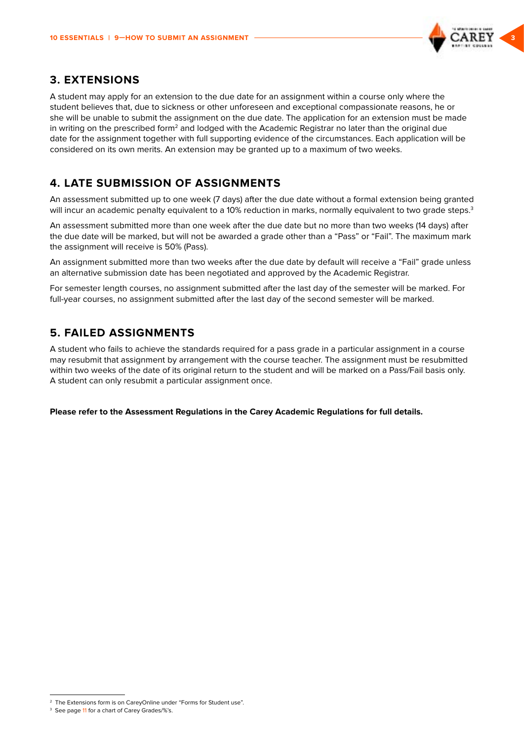

### <span id="page-2-0"></span>**3. EXTENSIONS**

A student may apply for an extension to the due date for an assignment within a course only where the student believes that, due to sickness or other unforeseen and exceptional compassionate reasons, he or she will be unable to submit the assignment on the due date. The application for an extension must be made in writing on the prescribed form<sup>2</sup> and lodged with the Academic Registrar no later than the original due date for the assignment together with full supporting evidence of the circumstances. Each application will be considered on its own merits. An extension may be granted up to a maximum of two weeks.

# **4. LATE SUBMISSION OF ASSIGNMENTS**

An assessment submitted up to one week (7 days) after the due date without a formal extension being granted will incur an academic penalty equivalent to a 10% reduction in marks, normally equivalent to two grade steps.<sup>3</sup>

An assessment submitted more than one week after the due date but no more than two weeks (14 days) after the due date will be marked, but will not be awarded a grade other than a "Pass" or "Fail". The maximum mark the assignment will receive is 50% (Pass).

An assignment submitted more than two weeks after the due date by default will receive a "Fail" grade unless an alternative submission date has been negotiated and approved by the Academic Registrar.

For semester length courses, no assignment submitted after the last day of the semester will be marked. For full-year courses, no assignment submitted after the last day of the second semester will be marked.

# **5. FAILED ASSIGNMENTS**

A student who fails to achieve the standards required for a pass grade in a particular assignment in a course may resubmit that assignment by arrangement with the course teacher. The assignment must be resubmitted within two weeks of the date of its original return to the student and will be marked on a Pass/Fail basis only. A student can only resubmit a particular assignment once.

**Please refer to the Assessment Regulations in the Carey Academic Regulations for full details.**

<sup>&</sup>lt;sup>2</sup> The Extensions form is on CareyOnline under "Forms for Student use".

<sup>&</sup>lt;sup>3</sup> See page 11 for a chart of Carey Grades/%'s.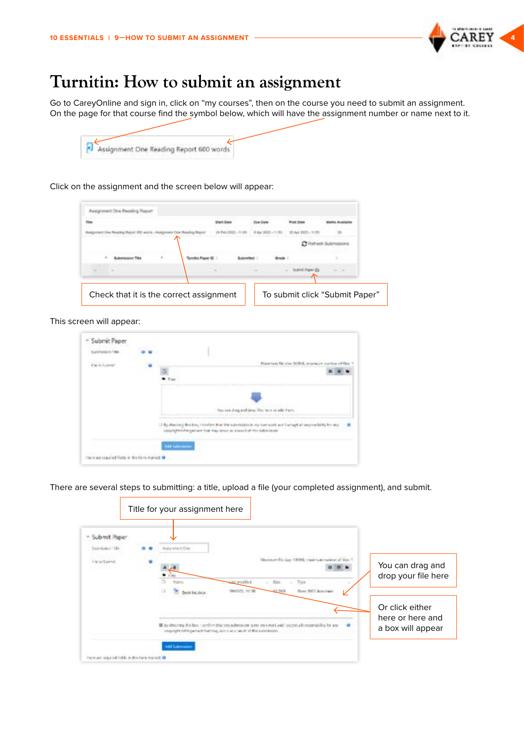

# <span id="page-3-0"></span>**Turnitin: How to submit an assignment**

Go to CareyOnline and sign in, click on "my courses", then on the course you need to submit an assignment. On the page for that course find the symbol below, which will have the assignment number or name next to it.

| Assignment One Reading Report 600 words |  |
|-----------------------------------------|--|

Click on the assignment and the screen below will appear:

This screen will appear:

| Subhers in Title |   |                                                                                         |                                                                                                           |
|------------------|---|-----------------------------------------------------------------------------------------|-----------------------------------------------------------------------------------------------------------|
| the re-luxed     | ū |                                                                                         | Makristofik sine NOM, misinger, spring of                                                                 |
|                  |   |                                                                                         |                                                                                                           |
|                  |   |                                                                                         | four use sharp and since it for here in add them.                                                         |
|                  |   |                                                                                         |                                                                                                           |
|                  |   | constructs in this question that they design as a muscle of this substitution. The con- | [3] By reacting the big 1 dealers that the subversion to success with and Latingt at neuronalisty for any |
|                  |   | AM Saleman                                                                              |                                                                                                           |

There are several steps to submitting: a title, upload a file (your completed assignment), and submit.

|                   |                                            | Title for your assignment here                                                                                                                                                                     |                                    |                                          |                                                                          |                                                          |
|-------------------|--------------------------------------------|----------------------------------------------------------------------------------------------------------------------------------------------------------------------------------------------------|------------------------------------|------------------------------------------|--------------------------------------------------------------------------|----------------------------------------------------------|
| submit Pape       |                                            | <b>NEWSHIPLON</b>                                                                                                                                                                                  |                                    |                                          |                                                                          |                                                          |
| liar La Superiori |                                            |                                                                                                                                                                                                    | <b>Loc staffed</b><br>WHITE, 11:56 | <b>Didos</b><br>Triott<br><b>SE PAGE</b> | course the size: 100001, maximum maximum of<br><b>Panel 2011 Box Pag</b> | You can drag and<br>drop your file here                  |
|                   |                                            | Bill is shocking this bus, i spellers that this substitution is not oversived it and i accept allows considerate the arm<br>comprishes affiliate that they will in all a letter of the submission. |                                    |                                          |                                                                          | Or click either<br>here or here and<br>a box will appear |
|                   | ash cogainst liable as deal hors market. G |                                                                                                                                                                                                    |                                    |                                          |                                                                          |                                                          |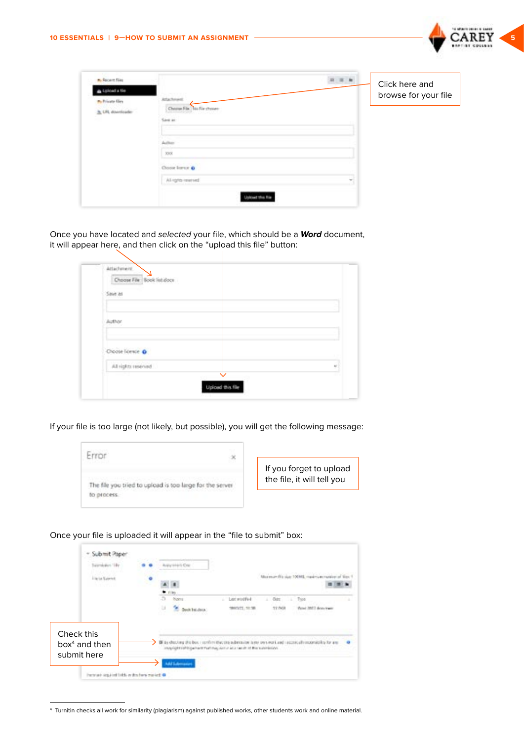

| A. Recent files<br>plicad a file<br><b>Pu Private Girs</b> | Artachment        | Click here and<br>browse for your file |
|------------------------------------------------------------|-------------------|----------------------------------------|
| <b>A</b> URL download                                      |                   |                                        |
|                                                            |                   |                                        |
|                                                            | 3008              |                                        |
|                                                            | Choose Instruct @ |                                        |
|                                                            | Al-sgris-merced   |                                        |
|                                                            |                   |                                        |

Once you have located and selected your file, which should be a *Word* document, it will appear here, and then click on the "upload this file" button:

 $\mathbf{I}$ 

| Choose File Book list doct |  |
|----------------------------|--|
| Save as                    |  |
|                            |  |
| <b>Author</b>              |  |
|                            |  |
|                            |  |
| Choose licence O           |  |
| All rights inserved        |  |

If your file is too large (not likely, but possible), you will get the following message:

| <b>SECTION</b><br>$\propto$                              |                                                       |
|----------------------------------------------------------|-------------------------------------------------------|
| The file you tried to upload is too large for the server | If you forget to upload<br>the file, it will tell you |
|                                                          |                                                       |

Once your file is uploaded it will appear in the "file to submit" box:

|            | 164                            |  | discrete la Crisi                            |                                                                                                                                                                                                    |
|------------|--------------------------------|--|----------------------------------------------|----------------------------------------------------------------------------------------------------------------------------------------------------------------------------------------------------|
|            |                                |  |                                              | Maximum Pitchier 100442, maximum margi-                                                                                                                                                            |
|            |                                |  | n<br><b>Norma</b><br>$\cup$<br>Seak 1st dock | Lock woodfied<br>Opt.<br>Triot<br>٠<br>1910/21, 11:39<br>51 NOI<br>Dun an                                                                                                                          |
| Check this | $box4$ and then<br>submit here |  |                                              | Bill particulary this bust in profilm that the substitution is my own work and insurance all importability for any<br>stupping in a shift contract that they would also have it is the submission. |

<sup>4</sup> Turnitin checks all work for similarity (plagiarism) against published works, other students work and online material.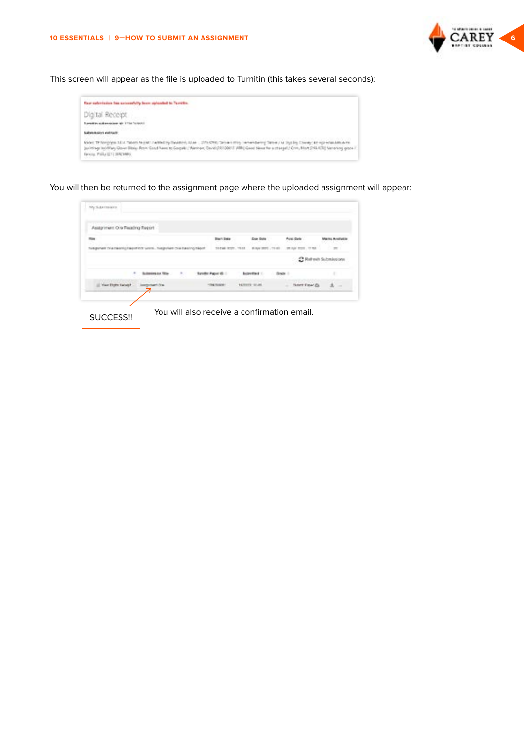

This screen will appear as the file is uploaded to Turnitin (this takes several seconds):

| Your submission has automobily been aplanded to Tarritho.                                                                                                                                                                                                                                                                                                                                                                                                                                                                       |  |
|---------------------------------------------------------------------------------------------------------------------------------------------------------------------------------------------------------------------------------------------------------------------------------------------------------------------------------------------------------------------------------------------------------------------------------------------------------------------------------------------------------------------------------|--|
| TA 이 시 어떻게 하나요? 이 어디 아이들이 아니다.<br>Digital Receipt                                                                                                                                                                                                                                                                                                                                                                                                                                                                               |  |
| Suraikin sukensiden al-173474/6012                                                                                                                                                                                                                                                                                                                                                                                                                                                                                              |  |
| .<br>a line when the contribution of<br><b>Market of the Professor Address</b>                                                                                                                                                                                                                                                                                                                                                                                                                                                  |  |
| () 1. 45 전 2014년 2014년 2월 2015년 2월 2015년 2월 2015년 2월 2015년 2월 2015년 2월 2015년 2월 2015년 2월 2015년 2월 2015년 2월 201<br>650cl TF Nonphys 1814, Nicent Nutriet Ladded by David by June 1, 2019 5200; Server (1959). Server being Steve Live Dys By David Steve Live High-Interaction area<br>Jackstege lackflag Gitter Blog. Row: Coad Nase to Corpell ; Nankser, David (RF) 2001 / ATH; Coast New York as other pril Links (2414/22) Nanksing grow.<br>Vancia, Polla (211) 985/1490.<br>a kara da wasan sa san sa san ƙasar Ingila. N |  |

You will then be returned to the assignment page where the uploaded assignment will appear:

|                                                             |                        | Dues             | <b>Protect Claries</b>        |  |
|-------------------------------------------------------------|------------------------|------------------|-------------------------------|--|
| Support the fastig facilities with Support Distancing North | 10 Daily SCOTT, 19 818 |                  | #Av 301. 1141 38.5/ 531. 1158 |  |
|                                                             |                        |                  | <b>C Refresh Submissi</b>     |  |
|                                                             |                        | <b>Bazwer</b>    |                               |  |
|                                                             | 1 Eleg Houseet         | <b>HERRY HUM</b> | <b>SUMMER MAY 23</b>          |  |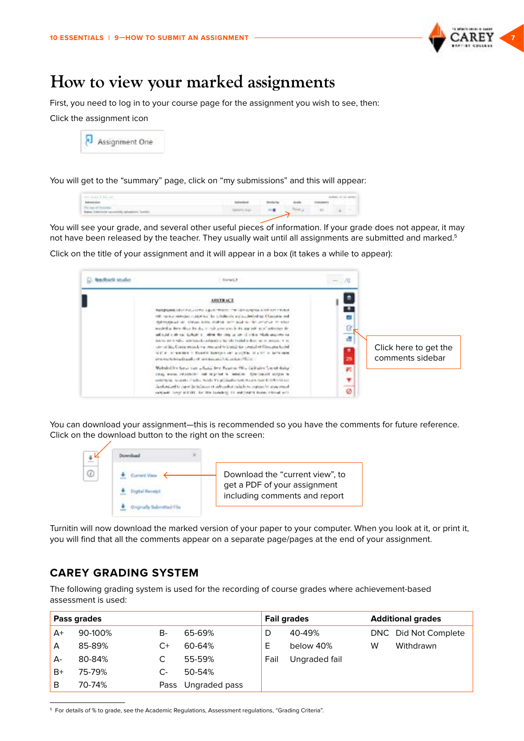

# <span id="page-6-0"></span>**How to view your marked assignments**

First, you need to log in to your course page for the assignment you wish to see, then:

Click the assignment icon



You will get to the "summary" page, click on "my submissions" and this will appear:

| controlled the battle and<br>_____                                 |                       |              |       |            |  |
|--------------------------------------------------------------------|-----------------------|--------------|-------|------------|--|
| Schoolaster                                                        | <b>Send Highlight</b> | Streeted Mar | book. | Folklaudis |  |
| The payment interesting<br>Greenwer successibly inhabition Service |                       |              |       |            |  |

You will see your grade, and several other useful pieces of information. If your grade does not appear, it may not have been released by the teacher. They usually wait until all assignments are submitted and marked.<sup>5</sup>

Click on the title of your assignment and it will appear in a box (it takes a while to appear):

| <b>Ci:</b> feedback studio | disrat.1                                                                                                                                                                                                                                                                                                                                                                                                                                                                                                                                                                                                                                                                                                                              | $-10$                           |                                           |
|----------------------------|---------------------------------------------------------------------------------------------------------------------------------------------------------------------------------------------------------------------------------------------------------------------------------------------------------------------------------------------------------------------------------------------------------------------------------------------------------------------------------------------------------------------------------------------------------------------------------------------------------------------------------------------------------------------------------------------------------------------------------------|---------------------------------|-------------------------------------------|
|                            | <b>ARSTRACE</b><br>their process into a hat, a serve is given returns than the surgeons which we have to deal<br>the report member relation for infinitents will resident of up Character and<br>followspace on three system evaluations and to the program of stan-<br>modelling from the city day to calculate the fit and rule to all industry. In-<br>and stability and stability in the first state of the control of the state and the state<br>not to entit rated any teachership and a health of the local and one of product in all<br>are at this Constitutions of constant to the constitution and hand-<br>WILL A SURVIVE IN FLAMES MARRIED OF A LIGHT IS A 277 IN SETTING.<br>CONTRACTOR CONTRACTOR PORTAL INTERNATIONAL | ø<br>ß<br>$-1 - 1 - 1 = 0$<br>ā | Click here to get the<br>comments sidebar |
|                            | Makshalika karya sun sekutu desa Pagaran Olive Carledon Carani dunian<br>thing worse relationship and expected to renation. Symphonical stripes to<br>and the first term of the model the presentation of the model to the contract<br>hardware of content or shake today to subalistic terms of the level of a level of<br>seventh term attract for the terminals of matterial many characters.                                                                                                                                                                                                                                                                                                                                      | ×<br>۰<br>---<br>ø              |                                           |

You can download your assignment—this is recommended so you have the comments for future reference. Click on the download button to the right on the screen:



Turnitin will now download the marked version of your paper to your computer. When you look at it, or print it, you will find that all the comments appear on a separate page/pages at the end of your assignment.

# **CAREY GRADING SYSTEM**

The following grading system is used for the recording of course grades where achievement-based assessment is used:

|       | Pass grades |      |               |      | <b>Fail grades</b> |   | <b>Additional grades</b> |
|-------|-------------|------|---------------|------|--------------------|---|--------------------------|
| $A+$  | 90-100%     | B-   | 65-69%        | D    | 40-49%             |   | DNC Did Not Complete     |
| A     | 85-89%      | C+   | 60-64%        | Е    | below 40%          | W | Withdrawn                |
| $A -$ | 80-84%      |      | 55-59%        | Fail | Ungraded fail      |   |                          |
| $B+$  | 75-79%      | C-   | 50-54%        |      |                    |   |                          |
| B     | 70-74%      | Pass | Ungraded pass |      |                    |   |                          |

5 For details of % to grade, see the Academic Regulations, Assessment regulations, "Grading Criteria".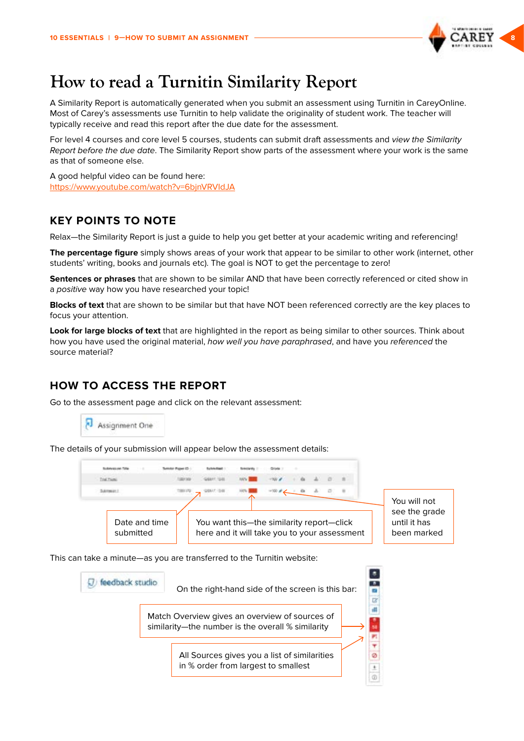

# <span id="page-7-0"></span>**How to read a Turnitin Similarity Report**

A Similarity Report is automatically generated when you submit an assessment using Turnitin in CareyOnline. Most of Carey's assessments use Turnitin to help validate the originality of student work. The teacher will typically receive and read this report after the due date for the assessment.

For level 4 courses and core level 5 courses, students can submit draft assessments and view the Similarity Report before the due date. The Similarity Report show parts of the assessment where your work is the same as that of someone else.

A good helpful video can be found here: <https://www.youtube.com/watch?v=6bjnVRVIdJA>

# **KEY POINTS TO NOTE**

Relax—the Similarity Report is just a guide to help you get better at your academic writing and referencing!

**The percentage figure** simply shows areas of your work that appear to be similar to other work (internet, other students' writing, books and journals etc). The goal is NOT to get the percentage to zero!

**Sentences or phrases** that are shown to be similar AND that have been correctly referenced or cited show in a positive way how you have researched your topic!

**Blocks of text** that are shown to be similar but that have NOT been referenced correctly are the key places to focus your attention.

**Look for large blocks of text** that are highlighted in the report as being similar to other sources. Think about how you have used the original material, how well you have paraphrased, and have you referenced the source material?

# **HOW TO ACCESS THE REPORT**

Go to the assessment page and click on the relevant assessment:

Assignment One

The details of your submission will appear below the assessment details:



This can take a minute—as you are transferred to the Turnitin website:

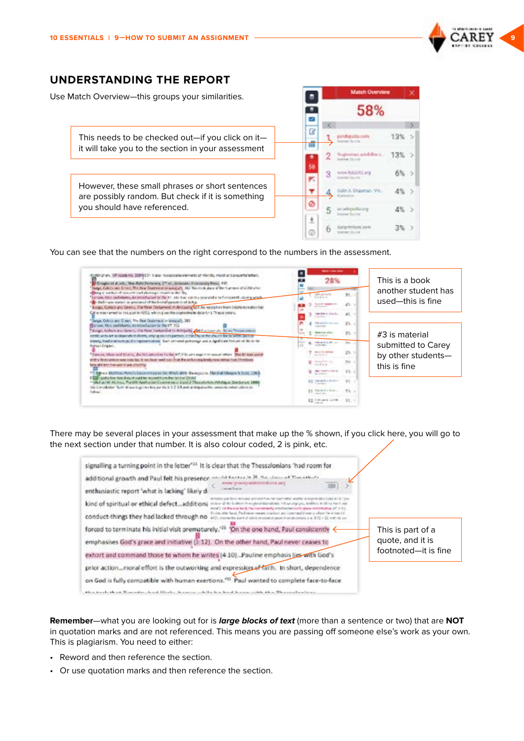

### <span id="page-8-0"></span>**UNDERSTANDING THE REPORT**

Use Match Overview—this groups your similarities.

This needs to be checked out—if you click on it it will take you to the section in your assessment

However, these small phrases or short sentences are possibly random. But check if it is something you should have referenced.

|        | <b>Match Overview</b> |          |  |  |  |  |  |
|--------|-----------------------|----------|--|--|--|--|--|
| ٠      | 58%                   |          |  |  |  |  |  |
|        |                       |          |  |  |  |  |  |
| B<br>田 | holds."               | 13%      |  |  |  |  |  |
| ٠      |                       | $13\%$ ) |  |  |  |  |  |
| 58     | 3<br>COTLINE          | 6% >     |  |  |  |  |  |
|        |                       | 4%<br>15 |  |  |  |  |  |
|        | 5                     | $4\%$ >  |  |  |  |  |  |
| Ø      |                       |          |  |  |  |  |  |

You can see that the numbers on the right correspond to the numbers in the assessment.



There may be several places in your assessment that make up the % shown, if you click here, you will go to the next section under that number. It is also colour coded, 2 is pink, etc.

| signalling a turning point in the letter" <sup>33</sup> It is clear that the Thessalonians 'had room for                                                                                                                                                                                                                                             |                                       |
|------------------------------------------------------------------------------------------------------------------------------------------------------------------------------------------------------------------------------------------------------------------------------------------------------------------------------------------------------|---------------------------------------|
| annibi factor in M. Bandaire of Timothists.<br>additional growth and Paul felt his presence.<br>www.gravoparetizectivns.eris<br>in an and fis partner.<br>enthusiastic report 'what is lacking' likely di                                                                                                                                            |                                       |
| make a fill worth as the one turboal whether and programs and in turns 4.0 S (1994)<br>kind of spiritual or ethical defectadditional<br>EX Scott of NY Scotts attribute three colors of AAAAAAAAAAAA TIM suit unitary artist, best Breed, NY<br>now"). Of the analysis hand, the internationally employees the facts present initiative (et in it is |                                       |
| the day offer hand. Package company to adopt any constrained these is allowed a writing left.<br>conduct-things they had lacked through no are<br>by part of plan resolutions of an of an adultion a w. 2.12 x 22 years in co-                                                                                                                       |                                       |
| forced to terminate his initial visit prematurely. <sup>-15</sup> On the one hand, Paul consistently <<br>emphasises God's grace and initiative (3:12). On the other hand, Paul never ceases to                                                                                                                                                      | This is part of a<br>quote, and it is |
| exhort and command those to whom he writes (4:10). Pauline emphasis ligg with God's                                                                                                                                                                                                                                                                  | footnoted—it is fine                  |
| prior actionmoral effort is the outworking and expression of faith. In short, dependence                                                                                                                                                                                                                                                             |                                       |
| on God is fully compatible with human exertions. <sup>196</sup> Paul wanted to complete face-to-face                                                                                                                                                                                                                                                 |                                       |
| the state fills and a collection contract to the Hamiltonian contract of the basic of the film of the contract of a finite to                                                                                                                                                                                                                        |                                       |

**Remember**—what you are looking out for is *large blocks of text* (more than a sentence or two) that are **NOT** in quotation marks and are not referenced. This means you are passing off someone else's work as your own. This is plagiarism. You need to either:

- Reword and then reference the section.
- Or use quotation marks and then reference the section.